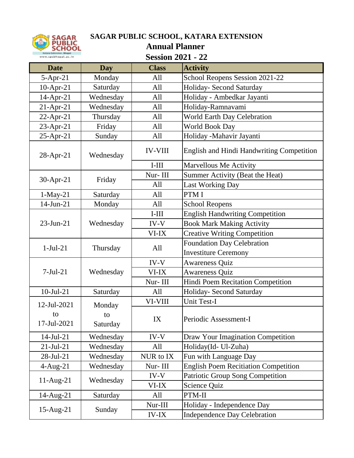

## **SAGAR PUBLIC SCHOOL, KATARA EXTENSION**

**Annual Planner** 

| <b>Session 2021 - 22</b> |  |  |  |
|--------------------------|--|--|--|
|--------------------------|--|--|--|

| <b>Date</b>     | <b>Day</b> | <b>Class</b>   | <b>Activity</b>                                  |  |
|-----------------|------------|----------------|--------------------------------------------------|--|
| $5-Apr-21$      | Monday     | All            | School Reopens Session 2021-22                   |  |
| $10$ -Apr-21    | Saturday   | All            | Holiday- Second Saturday                         |  |
| 14-Apr-21       | Wednesday  | All            | Holiday - Ambedkar Jayanti                       |  |
| $21-Apr-21$     | Wednesday  | All            | Holiday-Ramnavami                                |  |
| $22$ -Apr-21    | Thursday   | All            | World Earth Day Celebration                      |  |
| 23-Apr-21       | Friday     | All            | World Book Day                                   |  |
| 25-Apr-21       | Sunday     | All            | Holiday -Mahavir Jayanti                         |  |
| 28-Apr-21       | Wednesday  | <b>IV-VIII</b> | <b>English and Hindi Handwriting Competition</b> |  |
|                 |            | $I-III$        | <b>Marvellous Me Activity</b>                    |  |
| 30-Apr-21       | Friday     | Nur-III        | Summer Activity (Beat the Heat)                  |  |
|                 |            | All            | <b>Last Working Day</b>                          |  |
| $1-May-21$      | Saturday   | All            | PTM I                                            |  |
| 14-Jun-21       | Monday     | All            | <b>School Reopens</b>                            |  |
| 23-Jun-21       | Wednesday  | $I-III$        | <b>English Handwriting Competition</b>           |  |
|                 |            | IV-V           | <b>Book Mark Making Activity</b>                 |  |
|                 |            | VI-IX          | <b>Creative Writing Competition</b>              |  |
| $1-Jul-21$      |            | All            | <b>Foundation Day Celebration</b>                |  |
|                 | Thursday   |                | <b>Investiture Ceremony</b>                      |  |
|                 |            | IV-V           | <b>Awareness Quiz</b>                            |  |
| $7-Jul-21$      | Wednesday  | VI-IX          | <b>Awareness Quiz</b>                            |  |
|                 |            | Nur-III        | Hindi Poem Recitation Competition                |  |
| $10$ -Jul-21    | Saturday   | All            | Holiday- Second Saturday                         |  |
| 12-Jul-2021     | Monday     | VI-VIII        | Unit Test-I                                      |  |
| to              | to         | IX             |                                                  |  |
| 17-Jul-2021     | Saturday   |                | Periodic Assessment-I                            |  |
| $14$ -Jul-21    | Wednesday  | IV-V           | Draw Your Imagination Competition                |  |
| $21 - Jul - 21$ | Wednesday  | All            | Holiday(Id- Ul-Zuha)                             |  |
| 28-Jul-21       | Wednesday  | NUR to IX      | Fun with Language Day                            |  |
| $4-Aug-21$      | Wednesday  | Nur-III        | <b>English Poem Recitiation Competition</b>      |  |
| $11-Aug-21$     | Wednesday  | IV-V           | Patriotic Group Song Competition                 |  |
|                 |            | VI-IX          | Science Quiz                                     |  |
| 14-Aug-21       | Saturday   | All            | PTM-II                                           |  |
|                 |            | Nur-III        | Holiday - Independence Day                       |  |
| $15$ -Aug-21    | Sunday     | <b>IV-IX</b>   | <b>Independence Day Celebration</b>              |  |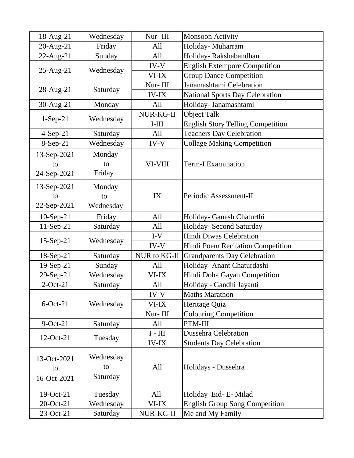| 18-Aug-21            | Wednesday    | Nur-III                         | <b>Monsoon Activity</b>                                    |
|----------------------|--------------|---------------------------------|------------------------------------------------------------|
| 20-Aug-21            | Friday       | All                             | Holiday- Muharram                                          |
| $22$ -Aug-21         | Sunday       | All                             | Holiday-Rakshabandhan                                      |
|                      |              | IV-V                            | <b>English Extempore Competition</b>                       |
| $25$ -Aug- $21$      | Wednesday    | VI-IX                           | <b>Group Dance Competition</b>                             |
|                      |              | Nur-III                         | Janamashtami Celebration                                   |
| $28$ -Aug-21         | Saturday     | <b>IV-IX</b>                    | <b>National Sports Day Celebration</b>                     |
| 30-Aug-21            | Monday       | All                             | Holiday- Janamashtami                                      |
|                      |              | NUR-KG-II                       | <b>Object Talk</b>                                         |
| $1-Sep-21$           | Wednesday    | $I-III$                         | <b>English Story Telling Competition</b>                   |
| $4-Sep-21$           | Saturday     | All                             | <b>Teachers Day Celebration</b>                            |
| $8-Sep-21$           | Wednesday    | IV-V                            | <b>Collage Making Competition</b>                          |
| 13-Sep-2021          | Monday       |                                 |                                                            |
| to                   | to           | VI-VIII                         | <b>Term-I Examination</b>                                  |
| 24-Sep-2021          | Friday       |                                 |                                                            |
| 13-Sep-2021          | Monday       |                                 |                                                            |
| to                   | to           | IX                              | Periodic Assessment-II                                     |
| 22-Sep-2021          | Wednesday    |                                 |                                                            |
|                      |              | All                             |                                                            |
| $10-Sep-21$          | Friday       |                                 | Holiday- Ganesh Chaturthi                                  |
| $11-Sep-21$          | Saturday     | All<br>$I-V$                    | Holiday- Second Saturday<br><b>Hindi Diwas Celebration</b> |
| $15-Sep-21$          | Wednesday    |                                 |                                                            |
|                      |              | IV-V<br>NUR to KG-II            | Hindi Poem Recitation Competition                          |
| 18-Sep-21            | Saturday     | All                             | <b>Grandparents Day Celebration</b>                        |
| $19-Sep-21$          | Sunday       | VI-IX                           | Holiday- Anant Chaturdashi                                 |
| 29-Sep-21            | Wednesday    |                                 | Hindi Doha Gayan Competition                               |
| $2$ -Oct-21          | Saturday     | All<br>IV-V                     | Holiday - Gandhi Jayanti                                   |
|                      |              |                                 | <b>Maths Marathon</b>                                      |
| $6$ -Oct-21          | Wednesday    | VI-IX                           | Heritage Quiz                                              |
|                      |              | Nur-III                         | <b>Colouring Competition</b>                               |
| $9$ -Oct-21          | Saturday     | All                             | PTM-III                                                    |
| 12-Oct-21<br>Tuesday |              | $I - III$                       | <b>Dussehra Celebration</b>                                |
|                      | <b>IV-IX</b> | <b>Students Day Celebration</b> |                                                            |
| 13-Oct-2021          | Wednesday    |                                 |                                                            |
| to                   | to           | All                             | Holidays - Dussehra                                        |
| 16-Oct-2021          | Saturday     |                                 |                                                            |
|                      |              |                                 |                                                            |
| 19-Oct-21            | Tuesday      | All                             | Holiday Eid- E-Milad                                       |
| 20-Oct-21            | Wednesday    | VI-IX                           | <b>English Group Song Competition</b>                      |
| 23-Oct-21            | Saturday     | NUR-KG-II                       | Me and My Family                                           |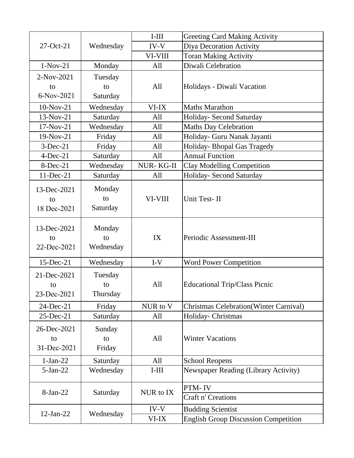|                                  |                           | $I-III$          | <b>Greeting Card Making Activity</b>           |
|----------------------------------|---------------------------|------------------|------------------------------------------------|
| 27-Oct-21                        | Wednesday                 | $IV-V$           | Diya Decoration Activity                       |
|                                  |                           | VI-VIII          | <b>Toran Making Activity</b>                   |
| $1-Nov-21$                       | Monday                    | All              | Diwali Celebration                             |
| 2-Nov-2021                       | Tuesday                   |                  |                                                |
| to                               | to                        | All              | Holidays - Diwali Vacation                     |
| 6-Nov-2021                       | Saturday                  |                  |                                                |
| 10-Nov-21                        | Wednesday                 | VI-IX            | <b>Maths Marathon</b>                          |
| 13-Nov-21                        | Saturday                  | All              | Holiday- Second Saturday                       |
| 17-Nov-21                        | Wednesday                 | All              | <b>Maths Day Celebration</b>                   |
| 19-Nov-21                        | Friday                    | All              | Holiday- Guru Nanak Jayanti                    |
| $3-Dec-21$                       | Friday                    | All              | Holiday- Bhopal Gas Tragedy                    |
| $4-Dec-21$                       | Saturday                  | All              | <b>Annual Function</b>                         |
| 8-Dec-21                         | Wednesday                 | <b>NUR-KG-II</b> | <b>Clay Modelling Competition</b>              |
| 11-Dec-21                        | Saturday                  | All              | Holiday- Second Saturday                       |
| 13-Dec-2021<br>to<br>18 Dec-2021 | Monday<br>to<br>Saturday  | VI-VIII          | Unit Test-II                                   |
| 13-Dec-2021<br>to<br>22-Dec-2021 | Monday<br>to<br>Wednesday | IX               | Periodic Assessment-III                        |
| 15-Dec-21                        | Wednesday                 | $I-V$            | <b>Word Power Competition</b>                  |
| 21-Dec-2021<br>to<br>23-Dec-2021 | Tuesday<br>to<br>Thursday | All              | <b>Educational Trip/Class Picnic</b>           |
| 24-Dec-21                        | Friday                    | NUR to V         | <b>Christmas Celebration</b> (Winter Carnival) |
| 25-Dec-21                        | Saturday                  | All              | Holiday- Christmas                             |
| 26-Dec-2021<br>to<br>31-Dec-2021 | Sunday<br>to<br>Friday    | All              | <b>Winter Vacations</b>                        |
| $1-Jan-22$                       | Saturday                  | All              | <b>School Reopens</b>                          |
| $5-Jan-22$                       | Wednesday                 | $I-III$          | <b>Newspaper Reading (Library Activity)</b>    |
| 8-Jan-22                         | Saturday                  | NUR to IX        | PTM-IV<br>Craft n' Creations                   |
| 12-Jan-22                        | Wednesday                 | IV-V             | <b>Budding Scientist</b>                       |
|                                  |                           | VI-IX            | <b>English Group Discussion Competition</b>    |